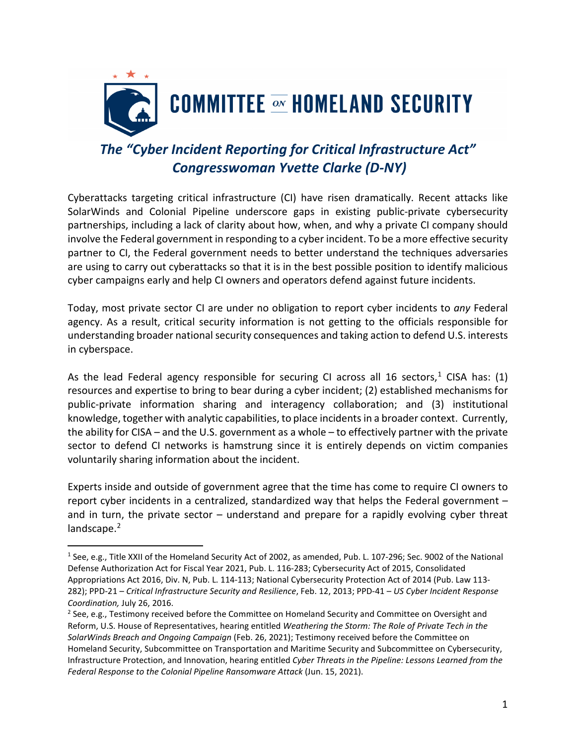

## *The "Cyber Incident Reporting for Critical Infrastructure Act" Congresswoman Yvette Clarke (D-NY)*

Cyberattacks targeting critical infrastructure (CI) have risen dramatically. Recent attacks like SolarWinds and Colonial Pipeline underscore gaps in existing public-private cybersecurity partnerships, including a lack of clarity about how, when, and why a private CI company should involve the Federal government in responding to a cyber incident. To be a more effective security partner to CI, the Federal government needs to better understand the techniques adversaries are using to carry out cyberattacks so that it is in the best possible position to identify malicious cyber campaigns early and help CI owners and operators defend against future incidents.

Today, most private sector CI are under no obligation to report cyber incidents to *any* Federal agency. As a result, critical security information is not getting to the officials responsible for understanding broader national security consequences and taking action to defend U.S. interests in cyberspace.

As the lead Federal agency responsible for securing CI across all 16 sectors,<sup>1</sup> CISA has: (1) resources and expertise to bring to bear during a cyber incident; (2) established mechanisms for public-private information sharing and interagency collaboration; and (3) institutional knowledge, together with analytic capabilities, to place incidentsin a broader context. Currently, the ability for CISA – and the U.S. government as a whole – to effectively partner with the private sector to defend CI networks is hamstrung since it is entirely depends on victim companies voluntarily sharing information about the incident.

Experts inside and outside of government agree that the time has come to require CI owners to report cyber incidents in a centralized, standardized way that helps the Federal government – and in turn, the private sector – understand and prepare for a rapidly evolving cyber threat landscape.<sup>[2](#page-0-1)</sup>

<span id="page-0-0"></span><sup>1</sup> See, e.g., Title XXII of the Homeland Security Act of 2002, as amended, Pub. L. 107-296; Sec. 9002 of the National Defense Authorization Act for Fiscal Year 2021, Pub. L. 116-283; Cybersecurity Act of 2015, Consolidated Appropriations Act 2016, Div. N, Pub. L. 114-113; National Cybersecurity Protection Act of 2014 (Pub. Law 113- 282); PPD-21 – *Critical Infrastructure Security and Resilience*, Feb. 12, 2013; PPD-41 – *US Cyber Incident Response Coordination,* July 26, 2016.<br><sup>2</sup> See, e.g., Testimony received before the Committee on Homeland Security and Committee on Oversight and

<span id="page-0-1"></span>Reform, U.S. House of Representatives, hearing entitled *Weathering the Storm: The Role of Private Tech in the SolarWinds Breach and Ongoing Campaign* (Feb. 26, 2021); Testimony received before the Committee on Homeland Security, Subcommittee on Transportation and Maritime Security and Subcommittee on Cybersecurity, Infrastructure Protection, and Innovation, hearing entitled *Cyber Threats in the Pipeline: Lessons Learned from the Federal Response to the Colonial Pipeline Ransomware Attack* (Jun. 15, 2021).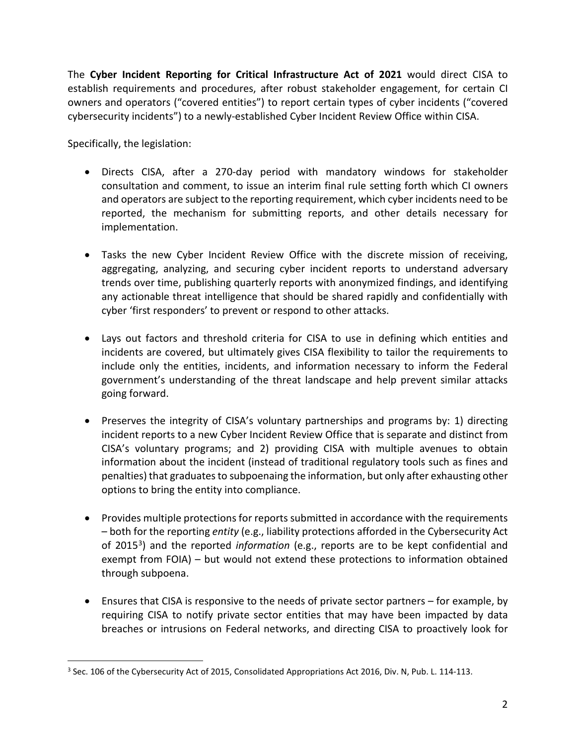The **Cyber Incident Reporting for Critical Infrastructure Act of 2021** would direct CISA to establish requirements and procedures, after robust stakeholder engagement, for certain CI owners and operators ("covered entities") to report certain types of cyber incidents ("covered cybersecurity incidents") to a newly-established Cyber Incident Review Office within CISA.

Specifically, the legislation:

- Directs CISA, after a 270-day period with mandatory windows for stakeholder consultation and comment, to issue an interim final rule setting forth which CI owners and operators are subject to the reporting requirement, which cyber incidents need to be reported, the mechanism for submitting reports, and other details necessary for implementation.
- Tasks the new Cyber Incident Review Office with the discrete mission of receiving, aggregating, analyzing, and securing cyber incident reports to understand adversary trends over time, publishing quarterly reports with anonymized findings, and identifying any actionable threat intelligence that should be shared rapidly and confidentially with cyber 'first responders' to prevent or respond to other attacks.
- Lays out factors and threshold criteria for CISA to use in defining which entities and incidents are covered, but ultimately gives CISA flexibility to tailor the requirements to include only the entities, incidents, and information necessary to inform the Federal government's understanding of the threat landscape and help prevent similar attacks going forward.
- Preserves the integrity of CISA's voluntary partnerships and programs by: 1) directing incident reports to a new Cyber Incident Review Office that is separate and distinct from CISA's voluntary programs; and 2) providing CISA with multiple avenues to obtain information about the incident (instead of traditional regulatory tools such as fines and penalties) that graduates to subpoenaing the information, but only after exhausting other options to bring the entity into compliance.
- Provides multiple protections for reports submitted in accordance with the requirements – both for the reporting *entity* (e.g., liability protections afforded in the Cybersecurity Act of 2015[3](#page-1-0)) and the reported *information* (e.g., reports are to be kept confidential and exempt from FOIA) – but would not extend these protections to information obtained through subpoena.
- Ensures that CISA is responsive to the needs of private sector partners for example, by requiring CISA to notify private sector entities that may have been impacted by data breaches or intrusions on Federal networks, and directing CISA to proactively look for

<span id="page-1-0"></span><sup>&</sup>lt;sup>3</sup> Sec. 106 of the Cybersecurity Act of 2015, Consolidated Appropriations Act 2016, Div. N, Pub. L. 114-113.